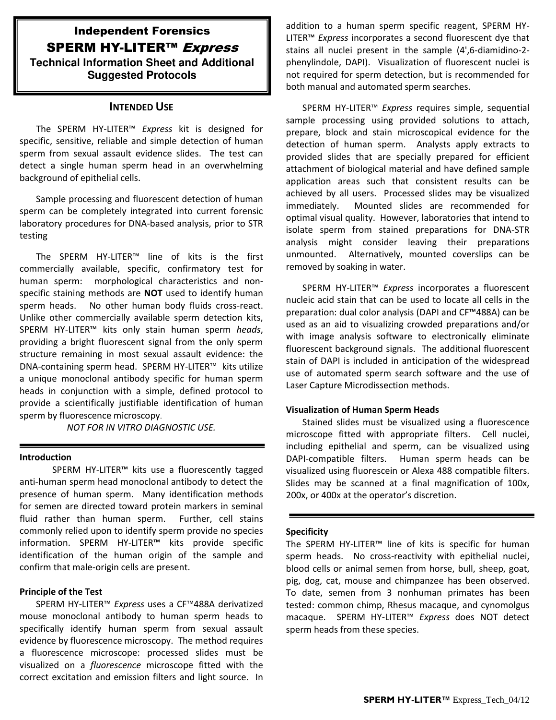## Independent Forensics SPERM HY-LITER<sup>™</sup> Express **Technical Information Sheet and Additional Suggested Protocols**

## **INTENDED USE**

The SPERM HY-LITER™ *Express* kit is designed for specific, sensitive, reliable and simple detection of human sperm from sexual assault evidence slides. The test can detect a single human sperm head in an overwhelming background of epithelial cells.

Sample processing and fluorescent detection of human sperm can be completely integrated into current forensic laboratory procedures for DNA-based analysis, prior to STR testing

The SPERM HY-LITER™ line of kits is the first commercially available, specific, confirmatory test for human sperm: morphological characteristics and nonspecific staining methods are **NOT** used to identify human sperm heads. No other human body fluids cross-react. Unlike other commercially available sperm detection kits, SPERM HY-LITER™ kits only stain human sperm *heads*, providing a bright fluorescent signal from the only sperm structure remaining in most sexual assault evidence: the DNA-containing sperm head. SPERM HY-LITER™ kits utilize a unique monoclonal antibody specific for human sperm heads in conjunction with a simple, defined protocol to provide a scientifically justifiable identification of human sperm by fluorescence microscopy.

*NOT FOR IN VITRO DIAGNOSTIC USE.*

#### **Introduction**

SPERM HY-LITER™ kits use a fluorescently tagged anti-human sperm head monoclonal antibody to detect the presence of human sperm. Many identification methods for semen are directed toward protein markers in seminal fluid rather than human sperm. Further, cell stains commonly relied upon to identify sperm provide no species information. SPERM HY-LITER™ kits provide specific identification of the human origin of the sample and confirm that male-origin cells are present.

#### **Principle of the Test**

SPERM HY-LITER™ *Express* uses a CF™488A derivatized mouse monoclonal antibody to human sperm heads to specifically identify human sperm from sexual assault evidence by fluorescence microscopy. The method requires a fluorescence microscope: processed slides must be visualized on a *fluorescence* microscope fitted with the correct excitation and emission filters and light source. In addition to a human sperm specific reagent, SPERM HY-LITER™ *Express* incorporates a second fluorescent dye that stains all nuclei present in the sample (4',6-diamidino-2 phenylindole, DAPI). Visualization of fluorescent nuclei is not required for sperm detection, but is recommended for both manual and automated sperm searches.

SPERM HY-LITER™ *Express* requires simple, sequential sample processing using provided solutions to attach, prepare, block and stain microscopical evidence for the detection of human sperm. Analysts apply extracts to provided slides that are specially prepared for efficient attachment of biological material and have defined sample application areas such that consistent results can be achieved by all users. Processed slides may be visualized immediately. Mounted slides are recommended for optimal visual quality. However, laboratories that intend to isolate sperm from stained preparations for DNA-STR analysis might consider leaving their preparations unmounted. Alternatively, mounted coverslips can be removed by soaking in water.

SPERM HY-LITER™ *Express* incorporates a fluorescent nucleic acid stain that can be used to locate all cells in the preparation: dual color analysis (DAPI and CF™488A) can be used as an aid to visualizing crowded preparations and/or with image analysis software to electronically eliminate fluorescent background signals. The additional fluorescent stain of DAPI is included in anticipation of the widespread use of automated sperm search software and the use of Laser Capture Microdissection methods.

## **Visualization of Human Sperm Heads**

Stained slides must be visualized using a fluorescence microscope fitted with appropriate filters. Cell nuclei, including epithelial and sperm, can be visualized using DAPI-compatible filters. Human sperm heads can be visualized using fluorescein or Alexa 488 compatible filters. Slides may be scanned at a final magnification of 100x, 200x, or 400x at the operator's discretion.

#### **Specificity**

The SPERM HY-LITER™ line of kits is specific for human sperm heads. No cross-reactivity with epithelial nuclei, blood cells or animal semen from horse, bull, sheep, goat, pig, dog, cat, mouse and chimpanzee has been observed. To date, semen from 3 nonhuman primates has been tested: common chimp, Rhesus macaque, and cynomolgus macaque. SPERM HY-LITER™ *Express* does NOT detect sperm heads from these species.